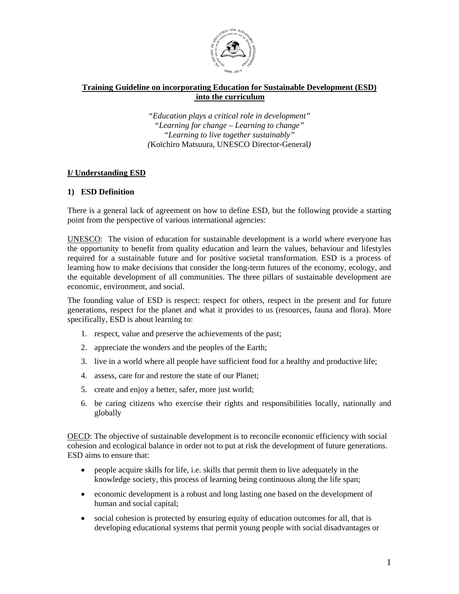

# **Training Guideline on incorporating Education for Sustainable Development (ESD) into the curriculum**

*"Education plays a critical role in development" "Learning for change – Learning to change" "Learning to live together sustainably" (*Koïchiro Matsuura, UNESCO Director-General*)* 

## **I/ Understanding ESD**

## **1) ESD Definition**

There is a general lack of agreement on how to define ESD, but the following provide a starting point from the perspective of various international agencies:

UNESCO: The vision of education for sustainable development is a world where everyone has the opportunity to benefit from quality education and learn the values, behaviour and lifestyles required for a sustainable future and for positive societal transformation. ESD is a process of learning how to make decisions that consider the long-term futures of the economy, ecology, and the equitable development of all communities. The three pillars of sustainable development are economic, environment, and social.

The founding value of ESD is respect: respect for others, respect in the present and for future generations, respect for the planet and what it provides to us (resources, fauna and flora). More specifically, ESD is about learning to:

- 1. respect, value and preserve the achievements of the past;
- 2. appreciate the wonders and the peoples of the Earth;
- 3. live in a world where all people have sufficient food for a healthy and productive life;
- 4. assess, care for and restore the state of our Planet;
- 5. create and enjoy a better, safer, more just world;
- 6. be caring citizens who exercise their rights and responsibilities locally, nationally and globally

OECD: The objective of sustainable development is to reconcile economic efficiency with social cohesion and ecological balance in order not to put at risk the development of future generations. ESD aims to ensure that:

- people acquire skills for life, i.e. skills that permit them to live adequately in the knowledge society, this process of learning being continuous along the life span;
- economic development is a robust and long lasting one based on the development of human and social capital;
- social cohesion is protected by ensuring equity of education outcomes for all, that is developing educational systems that permit young people with social disadvantages or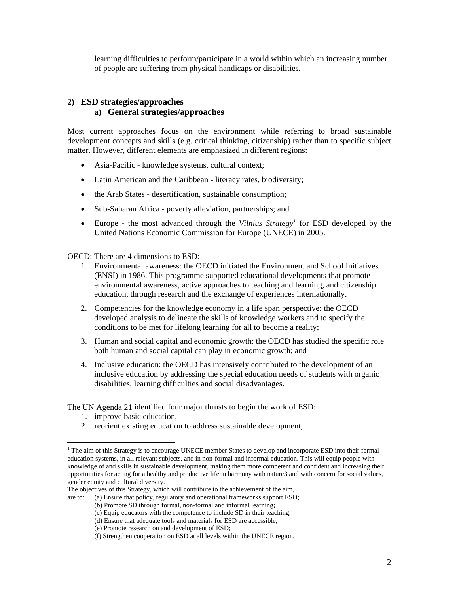learning difficulties to perform/participate in a world within which an increasing number of people are suffering from physical handicaps or disabilities.

### **2) ESD strategies/approaches**

### **a) General strategies/approaches**

Most current approaches focus on the environment while referring to broad sustainable development concepts and skills (e.g. critical thinking, citizenship) rather than to specific subject matter. However, different elements are emphasized in different regions:

- Asia-Pacific knowledge systems, cultural context;
- Latin American and the Caribbean literacy rates, biodiversity;
- the Arab States desertification, sustainable consumption;
- Sub-Saharan Africa poverty alleviation, partnerships; and
- Europe the most advanced through the *Vilnius Strategy*<sup>1</sup> for ESD developed by the United Nations Economic Commission for Europe (UNECE) in 2005.

OECD: There are 4 dimensions to ESD:

- 1. Environmental awareness: the OECD initiated the Environment and School Initiatives (ENSI) in 1986. This programme supported educational developments that promote environmental awareness, active approaches to teaching and learning, and citizenship education, through research and the exchange of experiences internationally.
- 2. Competencies for the knowledge economy in a life span perspective: the OECD developed analysis to delineate the skills of knowledge workers and to specify the conditions to be met for lifelong learning for all to become a reality;
- 3. Human and social capital and economic growth: the OECD has studied the specific role both human and social capital can play in economic growth; and
- 4. Inclusive education: the OECD has intensively contributed to the development of an inclusive education by addressing the special education needs of students with organic disabilities, learning difficulties and social disadvantages.

The UN Agenda 21 identified four major thrusts to begin the work of ESD:

1. improve basic education,

 $\overline{a}$ 

2. reorient existing education to address sustainable development,

<sup>&</sup>lt;sup>1</sup> The aim of this Strategy is to encourage UNECE member States to develop and incorporate ESD into their formal education systems, in all relevant subjects, and in non-formal and informal education. This will equip people with knowledge of and skills in sustainable development, making them more competent and confident and increasing their opportunities for acting for a healthy and productive life in harmony with nature3 and with concern for social values, gender equity and cultural diversity.

The objectives of this Strategy, which will contribute to the achievement of the aim,

are to: (a) Ensure that policy, regulatory and operational frameworks support ESD;

<sup>(</sup>b) Promote SD through formal, non-formal and informal learning;

<sup>(</sup>c) Equip educators with the competence to include SD in their teaching;

<sup>(</sup>d) Ensure that adequate tools and materials for ESD are accessible;

<sup>(</sup>e) Promote research on and development of ESD;

<sup>(</sup>f) Strengthen cooperation on ESD at all levels within the UNECE region.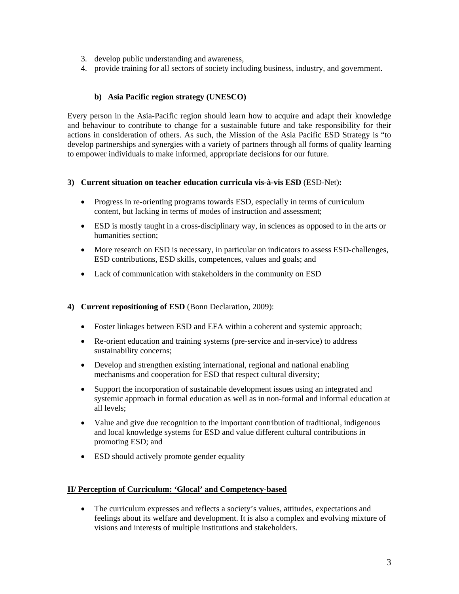- 3. develop public understanding and awareness,
- 4. provide training for all sectors of society including business, industry, and government.

# **b) Asia Pacific region strategy (UNESCO)**

Every person in the Asia-Pacific region should learn how to acquire and adapt their knowledge and behaviour to contribute to change for a sustainable future and take responsibility for their actions in consideration of others. As such, the Mission of the Asia Pacific ESD Strategy is "to develop partnerships and synergies with a variety of partners through all forms of quality learning to empower individuals to make informed, appropriate decisions for our future.

## **3) Current situation on teacher education curricula vis-à-vis ESD** (ESD-Net)**:**

- Progress in re-orienting programs towards ESD, especially in terms of curriculum content, but lacking in terms of modes of instruction and assessment;
- ESD is mostly taught in a cross-disciplinary way, in sciences as opposed to in the arts or humanities section;
- More research on ESD is necessary, in particular on indicators to assess ESD-challenges, ESD contributions, ESD skills, competences, values and goals; and
- Lack of communication with stakeholders in the community on ESD

# **4) Current repositioning of ESD** (Bonn Declaration, 2009):

- Foster linkages between ESD and EFA within a coherent and systemic approach;
- Re-orient education and training systems (pre-service and in-service) to address sustainability concerns;
- Develop and strengthen existing international, regional and national enabling mechanisms and cooperation for ESD that respect cultural diversity;
- Support the incorporation of sustainable development issues using an integrated and systemic approach in formal education as well as in non-formal and informal education at all levels;
- Value and give due recognition to the important contribution of traditional, indigenous and local knowledge systems for ESD and value different cultural contributions in promoting ESD; and
- ESD should actively promote gender equality

# **II/ Perception of Curriculum: 'Glocal' and Competency-based**

• The curriculum expresses and reflects a society's values, attitudes, expectations and feelings about its welfare and development. It is also a complex and evolving mixture of visions and interests of multiple institutions and stakeholders.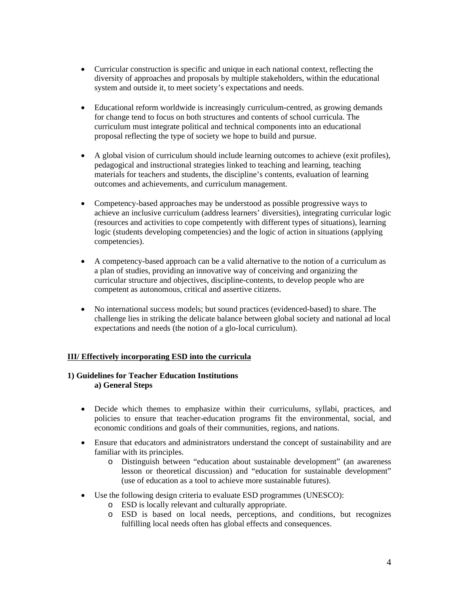- Curricular construction is specific and unique in each national context, reflecting the diversity of approaches and proposals by multiple stakeholders, within the educational system and outside it, to meet society's expectations and needs.
- Educational reform worldwide is increasingly curriculum-centred, as growing demands for change tend to focus on both structures and contents of school curricula. The curriculum must integrate political and technical components into an educational proposal reflecting the type of society we hope to build and pursue.
- A global vision of curriculum should include learning outcomes to achieve (exit profiles), pedagogical and instructional strategies linked to teaching and learning, teaching materials for teachers and students, the discipline's contents, evaluation of learning outcomes and achievements, and curriculum management.
- Competency-based approaches may be understood as possible progressive ways to achieve an inclusive curriculum (address learners' diversities), integrating curricular logic (resources and activities to cope competently with different types of situations), learning logic (students developing competencies) and the logic of action in situations (applying competencies).
- A competency-based approach can be a valid alternative to the notion of a curriculum as a plan of studies, providing an innovative way of conceiving and organizing the curricular structure and objectives, discipline-contents, to develop people who are competent as autonomous, critical and assertive citizens.
- No international success models; but sound practices (evidenced-based) to share. The challenge lies in striking the delicate balance between global society and national ad local expectations and needs (the notion of a glo-local curriculum).

# **III/ Effectively incorporating ESD into the curricula**

### **1) Guidelines for Teacher Education Institutions a) General Steps**

- Decide which themes to emphasize within their curriculums, syllabi, practices, and policies to ensure that teacher-education programs fit the environmental, social, and economic conditions and goals of their communities, regions, and nations.
- Ensure that educators and administrators understand the concept of sustainability and are familiar with its principles.
	- o Distinguish between "education about sustainable development" (an awareness lesson or theoretical discussion) and "education for sustainable development" (use of education as a tool to achieve more sustainable futures).
- Use the following design criteria to evaluate ESD programmes (UNESCO):
	- o ESD is locally relevant and culturally appropriate.
	- o ESD is based on local needs, perceptions, and conditions, but recognizes fulfilling local needs often has global effects and consequences.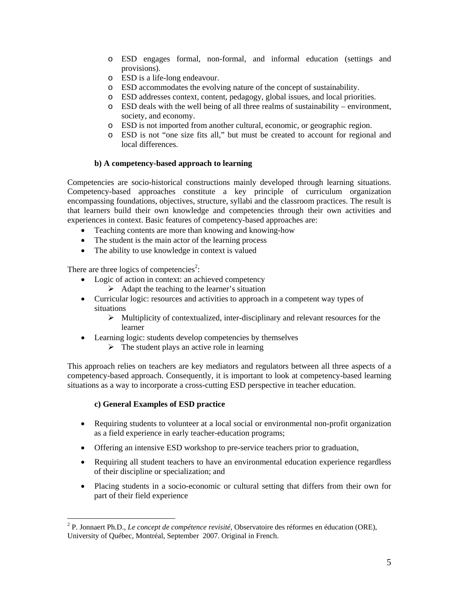- o ESD engages formal, non-formal, and informal education (settings and provisions).
- o ESD is a life-long endeavour.
- o ESD accommodates the evolving nature of the concept of sustainability.
- o ESD addresses context, content, pedagogy, global issues, and local priorities.
- o ESD deals with the well being of all three realms of sustainability environment, society, and economy.
- o ESD is not imported from another cultural, economic, or geographic region.
- o ESD is not "one size fits all," but must be created to account for regional and local differences.

## **b) A competency-based approach to learning**

Competencies are socio-historical constructions mainly developed through learning situations. Competency-based approaches constitute a key principle of curriculum organization encompassing foundations, objectives, structure, syllabi and the classroom practices. The result is that learners build their own knowledge and competencies through their own activities and experiences in context. Basic features of competency-based approaches are:

- Teaching contents are more than knowing and knowing-how
- The student is the main actor of the learning process
- The ability to use knowledge in context is valued

There are three logics of competencies<sup>2</sup>:

- Logic of action in context: an achieved competency
	- $\triangleright$  Adapt the teaching to the learner's situation
- Curricular logic: resources and activities to approach in a competent way types of situations
	- ¾ Multiplicity of contextualized, inter-disciplinary and relevant resources for the learner
- Learning logic: students develop competencies by themselves
	- $\triangleright$  The student plays an active role in learning

This approach relies on teachers are key mediators and regulators between all three aspects of a competency-based approach. Consequently, it is important to look at competency-based learning situations as a way to incorporate a cross-cutting ESD perspective in teacher education.

### **c) General Examples of ESD practice**

 $\overline{a}$ 

- Requiring students to volunteer at a local social or environmental non-profit organization as a field experience in early teacher-education programs;
- Offering an intensive ESD workshop to pre-service teachers prior to graduation,
- Requiring all student teachers to have an environmental education experience regardless of their discipline or specialization; and
- Placing students in a socio-economic or cultural setting that differs from their own for part of their field experience

<sup>2</sup> P. Jonnaert Ph.D., *Le concept de compétence revisité*, Observatoire des réformes en éducation (ORE), University of Québec, Montréal, September 2007. Original in French.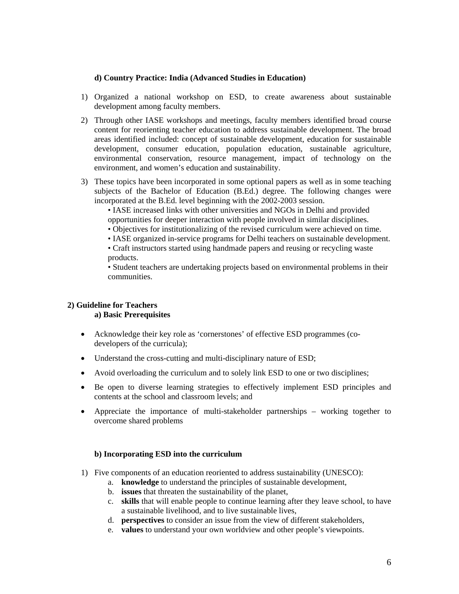### **d) Country Practice: India (Advanced Studies in Education)**

- 1) Organized a national workshop on ESD, to create awareness about sustainable development among faculty members.
- 2) Through other IASE workshops and meetings, faculty members identified broad course content for reorienting teacher education to address sustainable development. The broad areas identified included: concept of sustainable development, education for sustainable development, consumer education, population education, sustainable agriculture, environmental conservation, resource management, impact of technology on the environment, and women's education and sustainability.
- 3) These topics have been incorporated in some optional papers as well as in some teaching subjects of the Bachelor of Education (B.Ed.) degree. The following changes were incorporated at the B.Ed. level beginning with the 2002-2003 session.

• IASE increased links with other universities and NGOs in Delhi and provided opportunities for deeper interaction with people involved in similar disciplines.

• Objectives for institutionalizing of the revised curriculum were achieved on time.

• IASE organized in-service programs for Delhi teachers on sustainable development.

• Craft instructors started using handmade papers and reusing or recycling waste products.

• Student teachers are undertaking projects based on environmental problems in their communities.

#### **2) Guideline for Teachers a) Basic Prerequisites**

- Acknowledge their key role as 'cornerstones' of effective ESD programmes (codevelopers of the curricula);
- Understand the cross-cutting and multi-disciplinary nature of ESD;
- Avoid overloading the curriculum and to solely link ESD to one or two disciplines;
- Be open to diverse learning strategies to effectively implement ESD principles and contents at the school and classroom levels; and
- Appreciate the importance of multi-stakeholder partnerships working together to overcome shared problems

### **b) Incorporating ESD into the curriculum**

- 1) Five components of an education reoriented to address sustainability (UNESCO):
	- a. **knowledge** to understand the principles of sustainable development,
	- b. **issues** that threaten the sustainability of the planet,
	- c. **skills** that will enable people to continue learning after they leave school, to have a sustainable livelihood, and to live sustainable lives,
	- d. **perspectives** to consider an issue from the view of different stakeholders,
	- e. **values** to understand your own worldview and other people's viewpoints.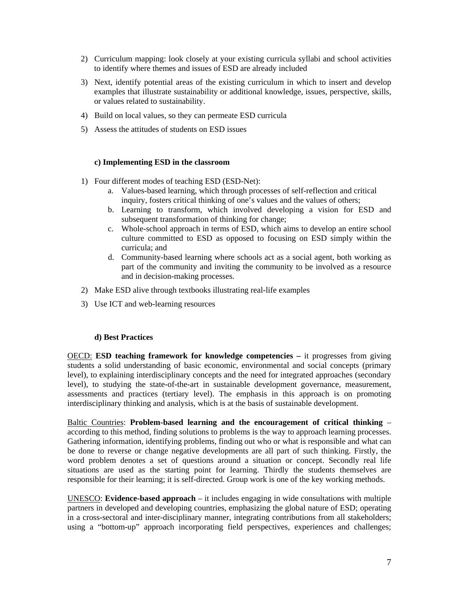- 2) Curriculum mapping: look closely at your existing curricula syllabi and school activities to identify where themes and issues of ESD are already included
- 3) Next, identify potential areas of the existing curriculum in which to insert and develop examples that illustrate sustainability or additional knowledge, issues, perspective, skills, or values related to sustainability.
- 4) Build on local values, so they can permeate ESD curricula
- 5) Assess the attitudes of students on ESD issues

#### **c) Implementing ESD in the classroom**

- 1) Four different modes of teaching ESD (ESD-Net):
	- a. Values-based learning, which through processes of self-reflection and critical inquiry, fosters critical thinking of one's values and the values of others;
	- b. Learning to transform, which involved developing a vision for ESD and subsequent transformation of thinking for change;
	- c. Whole-school approach in terms of ESD, which aims to develop an entire school culture committed to ESD as opposed to focusing on ESD simply within the curricula; and
	- d. Community-based learning where schools act as a social agent, both working as part of the community and inviting the community to be involved as a resource and in decision-making processes.
- 2) Make ESD alive through textbooks illustrating real-life examples
- 3) Use ICT and web-learning resources

#### **d) Best Practices**

OECD: **ESD teaching framework for knowledge competencies –** it progresses from giving students a solid understanding of basic economic, environmental and social concepts (primary level), to explaining interdisciplinary concepts and the need for integrated approaches (secondary level), to studying the state-of-the-art in sustainable development governance, measurement, assessments and practices (tertiary level). The emphasis in this approach is on promoting interdisciplinary thinking and analysis, which is at the basis of sustainable development.

Baltic Countries: **Problem-based learning and the encouragement of critical thinking** – according to this method, finding solutions to problems is the way to approach learning processes. Gathering information, identifying problems, finding out who or what is responsible and what can be done to reverse or change negative developments are all part of such thinking. Firstly, the word problem denotes a set of questions around a situation or concept. Secondly real life situations are used as the starting point for learning. Thirdly the students themselves are responsible for their learning; it is self-directed. Group work is one of the key working methods.

UNESCO: **Evidence-based approach** – it includes engaging in wide consultations with multiple partners in developed and developing countries, emphasizing the global nature of ESD; operating in a cross-sectoral and inter-disciplinary manner, integrating contributions from all stakeholders; using a "bottom-up" approach incorporating field perspectives, experiences and challenges;